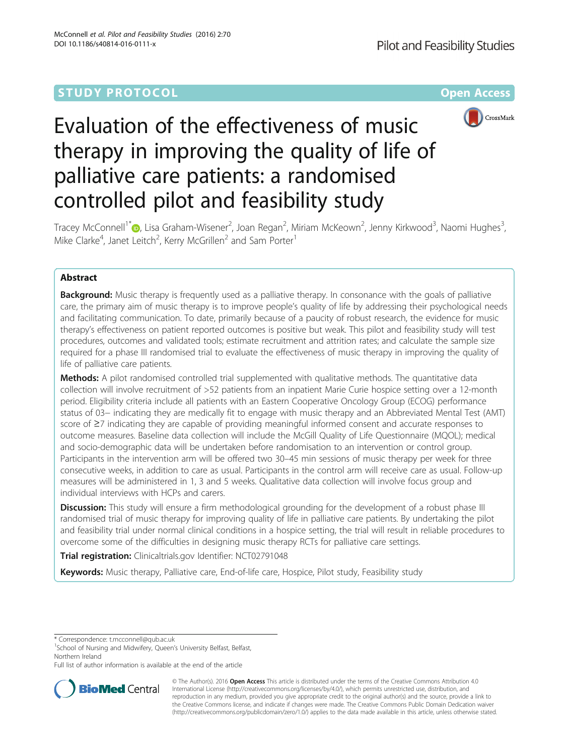# **STUDY PROTOCOL CONSUMING THE CONSUMING OPEN ACCESS**



# Evaluation of the effectiveness of music therapy in improving the quality of life of palliative care patients: a randomised controlled pilot and feasibility study

Tracey McConnell<sup>1\*</sup>�[,](http://orcid.org/0000-0003-1292-8597) Lisa Graham-Wisener<sup>2</sup>, Joan Regan<sup>2</sup>, Miriam McKeown<sup>2</sup>, Jenny Kirkwood<sup>3</sup>, Naomi Hughes<sup>3</sup> , Mike Clarke<sup>4</sup>, Janet Leitch<sup>2</sup>, Kerry McGrillen<sup>2</sup> and Sam Porter<sup>1</sup>

# Abstract

**Background:** Music therapy is frequently used as a palliative therapy. In consonance with the goals of palliative care, the primary aim of music therapy is to improve people's quality of life by addressing their psychological needs and facilitating communication. To date, primarily because of a paucity of robust research, the evidence for music therapy's effectiveness on patient reported outcomes is positive but weak. This pilot and feasibility study will test procedures, outcomes and validated tools; estimate recruitment and attrition rates; and calculate the sample size required for a phase III randomised trial to evaluate the effectiveness of music therapy in improving the quality of life of palliative care patients.

**Methods:** A pilot randomised controlled trial supplemented with qualitative methods. The quantitative data collection will involve recruitment of >52 patients from an inpatient Marie Curie hospice setting over a 12-month period. Eligibility criteria include all patients with an Eastern Cooperative Oncology Group (ECOG) performance status of 03− indicating they are medically fit to engage with music therapy and an Abbreviated Mental Test (AMT) score of ≥7 indicating they are capable of providing meaningful informed consent and accurate responses to outcome measures. Baseline data collection will include the McGill Quality of Life Questionnaire (MQOL); medical and socio-demographic data will be undertaken before randomisation to an intervention or control group. Participants in the intervention arm will be offered two 30–45 min sessions of music therapy per week for three consecutive weeks, in addition to care as usual. Participants in the control arm will receive care as usual. Follow-up measures will be administered in 1, 3 and 5 weeks. Qualitative data collection will involve focus group and individual interviews with HCPs and carers.

**Discussion:** This study will ensure a firm methodological grounding for the development of a robust phase III randomised trial of music therapy for improving quality of life in palliative care patients. By undertaking the pilot and feasibility trial under normal clinical conditions in a hospice setting, the trial will result in reliable procedures to overcome some of the difficulties in designing music therapy RCTs for palliative care settings.

Trial registration: Clinicaltrials.gov Identifier: [NCT02791048](https://clinicaltrials.gov/ct2/show/NCT02791048)

Keywords: Music therapy, Palliative care, End-of-life care, Hospice, Pilot study, Feasibility study

\* Correspondence: [t.mcconnell@qub.ac.uk](mailto:t.mcconnell@qub.ac.uk) <sup>1</sup>

<sup>1</sup>School of Nursing and Midwifery, Queen's University Belfast, Belfast, Northern Ireland

Full list of author information is available at the end of the article



© The Author(s). 2016 Open Access This article is distributed under the terms of the Creative Commons Attribution 4.0 International License [\(http://creativecommons.org/licenses/by/4.0/](http://creativecommons.org/licenses/by/4.0/)), which permits unrestricted use, distribution, and reproduction in any medium, provided you give appropriate credit to the original author(s) and the source, provide a link to the Creative Commons license, and indicate if changes were made. The Creative Commons Public Domain Dedication waiver [\(http://creativecommons.org/publicdomain/zero/1.0/](http://creativecommons.org/publicdomain/zero/1.0/)) applies to the data made available in this article, unless otherwise stated.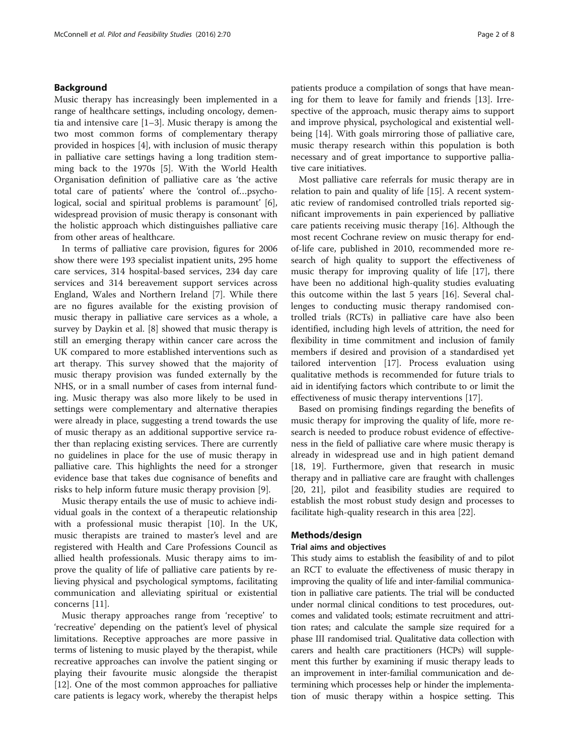# Background

Music therapy has increasingly been implemented in a range of healthcare settings, including oncology, dementia and intensive care [[1](#page-6-0)–[3\]](#page-6-0). Music therapy is among the two most common forms of complementary therapy provided in hospices [\[4](#page-6-0)], with inclusion of music therapy in palliative care settings having a long tradition stemming back to the 1970s [\[5\]](#page-6-0). With the World Health Organisation definition of palliative care as 'the active total care of patients' where the 'control of…psychological, social and spiritual problems is paramount' [\[6](#page-6-0)], widespread provision of music therapy is consonant with the holistic approach which distinguishes palliative care from other areas of healthcare.

In terms of palliative care provision, figures for 2006 show there were 193 specialist inpatient units, 295 home care services, 314 hospital-based services, 234 day care services and 314 bereavement support services across England, Wales and Northern Ireland [\[7](#page-6-0)]. While there are no figures available for the existing provision of music therapy in palliative care services as a whole, a survey by Daykin et al. [[8\]](#page-6-0) showed that music therapy is still an emerging therapy within cancer care across the UK compared to more established interventions such as art therapy. This survey showed that the majority of music therapy provision was funded externally by the NHS, or in a small number of cases from internal funding. Music therapy was also more likely to be used in settings were complementary and alternative therapies were already in place, suggesting a trend towards the use of music therapy as an additional supportive service rather than replacing existing services. There are currently no guidelines in place for the use of music therapy in palliative care. This highlights the need for a stronger evidence base that takes due cognisance of benefits and risks to help inform future music therapy provision [\[9](#page-6-0)].

Music therapy entails the use of music to achieve individual goals in the context of a therapeutic relationship with a professional music therapist [\[10](#page-6-0)]. In the UK, music therapists are trained to master's level and are registered with Health and Care Professions Council as allied health professionals. Music therapy aims to improve the quality of life of palliative care patients by relieving physical and psychological symptoms, facilitating communication and alleviating spiritual or existential concerns [\[11](#page-6-0)].

Music therapy approaches range from 'receptive' to 'recreative' depending on the patient's level of physical limitations. Receptive approaches are more passive in terms of listening to music played by the therapist, while recreative approaches can involve the patient singing or playing their favourite music alongside the therapist [[12\]](#page-6-0). One of the most common approaches for palliative care patients is legacy work, whereby the therapist helps patients produce a compilation of songs that have meaning for them to leave for family and friends [\[13](#page-6-0)]. Irrespective of the approach, music therapy aims to support and improve physical, psychological and existential wellbeing [\[14](#page-7-0)]. With goals mirroring those of palliative care, music therapy research within this population is both necessary and of great importance to supportive palliative care initiatives.

Most palliative care referrals for music therapy are in relation to pain and quality of life [\[15\]](#page-7-0). A recent systematic review of randomised controlled trials reported significant improvements in pain experienced by palliative care patients receiving music therapy [\[16](#page-7-0)]. Although the most recent Cochrane review on music therapy for endof-life care, published in 2010, recommended more research of high quality to support the effectiveness of music therapy for improving quality of life [[17\]](#page-7-0), there have been no additional high-quality studies evaluating this outcome within the last 5 years [[16\]](#page-7-0). Several challenges to conducting music therapy randomised controlled trials (RCTs) in palliative care have also been identified, including high levels of attrition, the need for flexibility in time commitment and inclusion of family members if desired and provision of a standardised yet tailored intervention [\[17\]](#page-7-0). Process evaluation using qualitative methods is recommended for future trials to aid in identifying factors which contribute to or limit the effectiveness of music therapy interventions [\[17](#page-7-0)].

Based on promising findings regarding the benefits of music therapy for improving the quality of life, more research is needed to produce robust evidence of effectiveness in the field of palliative care where music therapy is already in widespread use and in high patient demand [[18, 19](#page-7-0)]. Furthermore, given that research in music therapy and in palliative care are fraught with challenges [[20, 21\]](#page-7-0), pilot and feasibility studies are required to establish the most robust study design and processes to facilitate high-quality research in this area [[22\]](#page-7-0).

# Methods/design

# Trial aims and objectives

This study aims to establish the feasibility of and to pilot an RCT to evaluate the effectiveness of music therapy in improving the quality of life and inter-familial communication in palliative care patients. The trial will be conducted under normal clinical conditions to test procedures, outcomes and validated tools; estimate recruitment and attrition rates; and calculate the sample size required for a phase III randomised trial. Qualitative data collection with carers and health care practitioners (HCPs) will supplement this further by examining if music therapy leads to an improvement in inter-familial communication and determining which processes help or hinder the implementation of music therapy within a hospice setting. This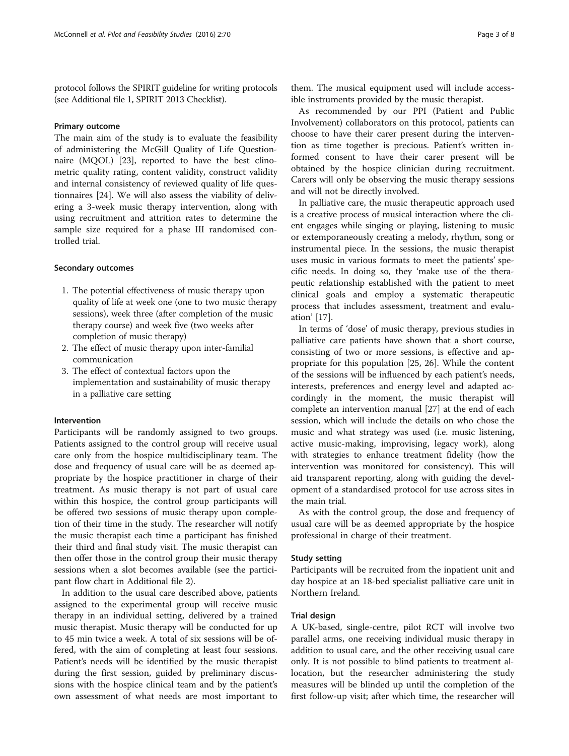protocol follows the SPIRIT guideline for writing protocols (see Additional file [1,](#page-6-0) SPIRIT 2013 Checklist).

#### Primary outcome

The main aim of the study is to evaluate the feasibility of administering the McGill Quality of Life Questionnaire (MQOL) [[23](#page-7-0)], reported to have the best clinometric quality rating, content validity, construct validity and internal consistency of reviewed quality of life questionnaires [[24\]](#page-7-0). We will also assess the viability of delivering a 3-week music therapy intervention, along with using recruitment and attrition rates to determine the sample size required for a phase III randomised controlled trial.

#### Secondary outcomes

- 1. The potential effectiveness of music therapy upon quality of life at week one (one to two music therapy sessions), week three (after completion of the music therapy course) and week five (two weeks after completion of music therapy)
- 2. The effect of music therapy upon inter-familial communication
- 3. The effect of contextual factors upon the implementation and sustainability of music therapy in a palliative care setting

#### Intervention

Participants will be randomly assigned to two groups. Patients assigned to the control group will receive usual care only from the hospice multidisciplinary team. The dose and frequency of usual care will be as deemed appropriate by the hospice practitioner in charge of their treatment. As music therapy is not part of usual care within this hospice, the control group participants will be offered two sessions of music therapy upon completion of their time in the study. The researcher will notify the music therapist each time a participant has finished their third and final study visit. The music therapist can then offer those in the control group their music therapy sessions when a slot becomes available (see the participant flow chart in Additional file [2](#page-6-0)).

In addition to the usual care described above, patients assigned to the experimental group will receive music therapy in an individual setting, delivered by a trained music therapist. Music therapy will be conducted for up to 45 min twice a week. A total of six sessions will be offered, with the aim of completing at least four sessions. Patient's needs will be identified by the music therapist during the first session, guided by preliminary discussions with the hospice clinical team and by the patient's own assessment of what needs are most important to

them. The musical equipment used will include accessible instruments provided by the music therapist.

As recommended by our PPI (Patient and Public Involvement) collaborators on this protocol, patients can choose to have their carer present during the intervention as time together is precious. Patient's written informed consent to have their carer present will be obtained by the hospice clinician during recruitment. Carers will only be observing the music therapy sessions and will not be directly involved.

In palliative care, the music therapeutic approach used is a creative process of musical interaction where the client engages while singing or playing, listening to music or extemporaneously creating a melody, rhythm, song or instrumental piece. In the sessions, the music therapist uses music in various formats to meet the patients' specific needs. In doing so, they 'make use of the therapeutic relationship established with the patient to meet clinical goals and employ a systematic therapeutic process that includes assessment, treatment and evaluation' [\[17](#page-7-0)].

In terms of 'dose' of music therapy, previous studies in palliative care patients have shown that a short course, consisting of two or more sessions, is effective and appropriate for this population [\[25](#page-7-0), [26](#page-7-0)]. While the content of the sessions will be influenced by each patient's needs, interests, preferences and energy level and adapted accordingly in the moment, the music therapist will complete an intervention manual [[27\]](#page-7-0) at the end of each session, which will include the details on who chose the music and what strategy was used (i.e. music listening, active music-making, improvising, legacy work), along with strategies to enhance treatment fidelity (how the intervention was monitored for consistency). This will aid transparent reporting, along with guiding the development of a standardised protocol for use across sites in the main trial.

As with the control group, the dose and frequency of usual care will be as deemed appropriate by the hospice professional in charge of their treatment.

#### Study setting

Participants will be recruited from the inpatient unit and day hospice at an 18-bed specialist palliative care unit in Northern Ireland.

# Trial design

A UK-based, single-centre, pilot RCT will involve two parallel arms, one receiving individual music therapy in addition to usual care, and the other receiving usual care only. It is not possible to blind patients to treatment allocation, but the researcher administering the study measures will be blinded up until the completion of the first follow-up visit; after which time, the researcher will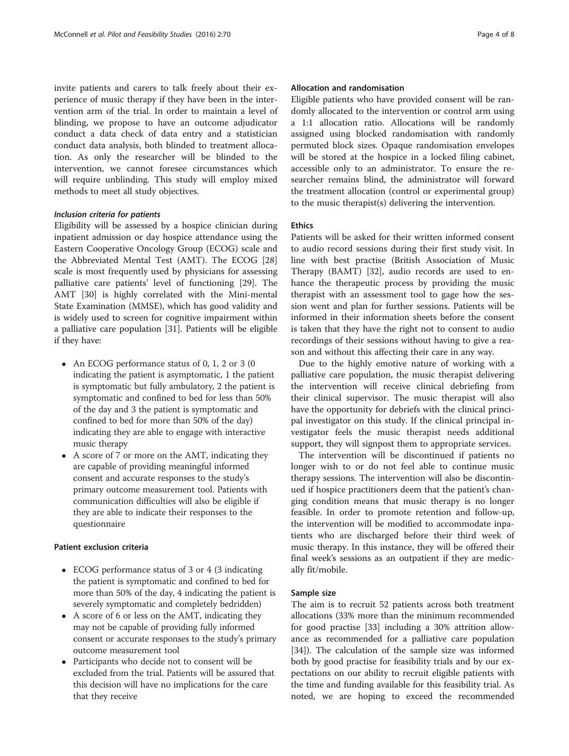invite patients and carers to talk freely about their experience of music therapy if they have been in the intervention arm of the trial. In order to maintain a level of blinding, we propose to have an outcome adjudicator conduct a data check of data entry and a statistician conduct data analysis, both blinded to treatment allocation. As only the researcher will be blinded to the intervention, we cannot foresee circumstances which will require unblinding. This study will employ mixed methods to meet all study objectives.

# Inclusion criteria for patients

Eligibility will be assessed by a hospice clinician during inpatient admission or day hospice attendance using the Eastern Cooperative Oncology Group (ECOG) scale and the Abbreviated Mental Test (AMT). The ECOG [[28](#page-7-0)] scale is most frequently used by physicians for assessing palliative care patients' level of functioning [[29\]](#page-7-0). The AMT [\[30](#page-7-0)] is highly correlated with the Mini-mental State Examination (MMSE), which has good validity and is widely used to screen for cognitive impairment within a palliative care population [[31\]](#page-7-0). Patients will be eligible if they have:

- An ECOG performance status of 0, 1, 2 or 3 (0) indicating the patient is asymptomatic, 1 the patient is symptomatic but fully ambulatory, 2 the patient is symptomatic and confined to bed for less than 50% of the day and 3 the patient is symptomatic and confined to bed for more than 50% of the day) indicating they are able to engage with interactive music therapy
- A score of 7 or more on the AMT, indicating they are capable of providing meaningful informed consent and accurate responses to the study's primary outcome measurement tool. Patients with communication difficulties will also be eligible if they are able to indicate their responses to the questionnaire

# Patient exclusion criteria

- ECOG performance status of 3 or 4 (3 indicating the patient is symptomatic and confined to bed for more than 50% of the day, 4 indicating the patient is severely symptomatic and completely bedridden)
- A score of 6 or less on the AMT, indicating they may not be capable of providing fully informed consent or accurate responses to the study's primary outcome measurement tool
- Participants who decide not to consent will be excluded from the trial. Patients will be assured that this decision will have no implications for the care that they receive

# Allocation and randomisation

Eligible patients who have provided consent will be randomly allocated to the intervention or control arm using a 1:1 allocation ratio. Allocations will be randomly assigned using blocked randomisation with randomly permuted block sizes. Opaque randomisation envelopes will be stored at the hospice in a locked filing cabinet, accessible only to an administrator. To ensure the researcher remains blind, the administrator will forward the treatment allocation (control or experimental group) to the music therapist(s) delivering the intervention.

# **Ethics**

Patients will be asked for their written informed consent to audio record sessions during their first study visit. In line with best practise (British Association of Music Therapy (BAMT) [\[32\]](#page-7-0), audio records are used to enhance the therapeutic process by providing the music therapist with an assessment tool to gage how the session went and plan for further sessions. Patients will be informed in their information sheets before the consent is taken that they have the right not to consent to audio recordings of their sessions without having to give a reason and without this affecting their care in any way.

Due to the highly emotive nature of working with a palliative care population, the music therapist delivering the intervention will receive clinical debriefing from their clinical supervisor. The music therapist will also have the opportunity for debriefs with the clinical principal investigator on this study. If the clinical principal investigator feels the music therapist needs additional support, they will signpost them to appropriate services.

The intervention will be discontinued if patients no longer wish to or do not feel able to continue music therapy sessions. The intervention will also be discontinued if hospice practitioners deem that the patient's changing condition means that music therapy is no longer feasible. In order to promote retention and follow-up, the intervention will be modified to accommodate inpatients who are discharged before their third week of music therapy. In this instance, they will be offered their final week's sessions as an outpatient if they are medically fit/mobile.

# Sample size

The aim is to recruit 52 patients across both treatment allocations (33% more than the minimum recommended for good practise [\[33\]](#page-7-0) including a 30% attrition allowance as recommended for a palliative care population [[34\]](#page-7-0)). The calculation of the sample size was informed both by good practise for feasibility trials and by our expectations on our ability to recruit eligible patients with the time and funding available for this feasibility trial. As noted, we are hoping to exceed the recommended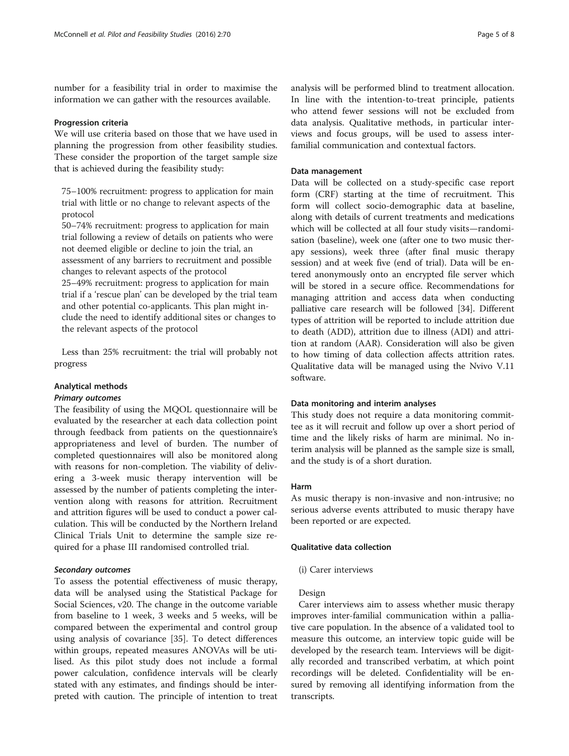number for a feasibility trial in order to maximise the information we can gather with the resources available.

#### Progression criteria

We will use criteria based on those that we have used in planning the progression from other feasibility studies. These consider the proportion of the target sample size that is achieved during the feasibility study:

75–100% recruitment: progress to application for main trial with little or no change to relevant aspects of the protocol

50–74% recruitment: progress to application for main trial following a review of details on patients who were not deemed eligible or decline to join the trial, an assessment of any barriers to recruitment and possible changes to relevant aspects of the protocol 25–49% recruitment: progress to application for main trial if a 'rescue plan' can be developed by the trial team and other potential co-applicants. This plan might include the need to identify additional sites or changes to the relevant aspects of the protocol

Less than 25% recruitment: the trial will probably not progress

# Analytical methods

#### Primary outcomes

The feasibility of using the MQOL questionnaire will be evaluated by the researcher at each data collection point through feedback from patients on the questionnaire's appropriateness and level of burden. The number of completed questionnaires will also be monitored along with reasons for non-completion. The viability of delivering a 3-week music therapy intervention will be assessed by the number of patients completing the intervention along with reasons for attrition. Recruitment and attrition figures will be used to conduct a power calculation. This will be conducted by the Northern Ireland Clinical Trials Unit to determine the sample size required for a phase III randomised controlled trial.

# Secondary outcomes

To assess the potential effectiveness of music therapy, data will be analysed using the Statistical Package for Social Sciences, v20. The change in the outcome variable from baseline to 1 week, 3 weeks and 5 weeks, will be compared between the experimental and control group using analysis of covariance [[35\]](#page-7-0). To detect differences within groups, repeated measures ANOVAs will be utilised. As this pilot study does not include a formal power calculation, confidence intervals will be clearly stated with any estimates, and findings should be interpreted with caution. The principle of intention to treat analysis will be performed blind to treatment allocation. In line with the intention-to-treat principle, patients who attend fewer sessions will not be excluded from data analysis. Qualitative methods, in particular interviews and focus groups, will be used to assess interfamilial communication and contextual factors.

# Data management

Data will be collected on a study-specific case report form (CRF) starting at the time of recruitment. This form will collect socio-demographic data at baseline, along with details of current treatments and medications which will be collected at all four study visits—randomisation (baseline), week one (after one to two music therapy sessions), week three (after final music therapy session) and at week five (end of trial). Data will be entered anonymously onto an encrypted file server which will be stored in a secure office. Recommendations for managing attrition and access data when conducting palliative care research will be followed [\[34](#page-7-0)]. Different types of attrition will be reported to include attrition due to death (ADD), attrition due to illness (ADI) and attrition at random (AAR). Consideration will also be given to how timing of data collection affects attrition rates. Qualitative data will be managed using the Nvivo V.11 software.

#### Data monitoring and interim analyses

This study does not require a data monitoring committee as it will recruit and follow up over a short period of time and the likely risks of harm are minimal. No interim analysis will be planned as the sample size is small, and the study is of a short duration.

#### Harm

As music therapy is non-invasive and non-intrusive; no serious adverse events attributed to music therapy have been reported or are expected.

# Qualitative data collection

# (i) Carer interviews

# Design

Carer interviews aim to assess whether music therapy improves inter-familial communication within a palliative care population. In the absence of a validated tool to measure this outcome, an interview topic guide will be developed by the research team. Interviews will be digitally recorded and transcribed verbatim, at which point recordings will be deleted. Confidentiality will be ensured by removing all identifying information from the transcripts.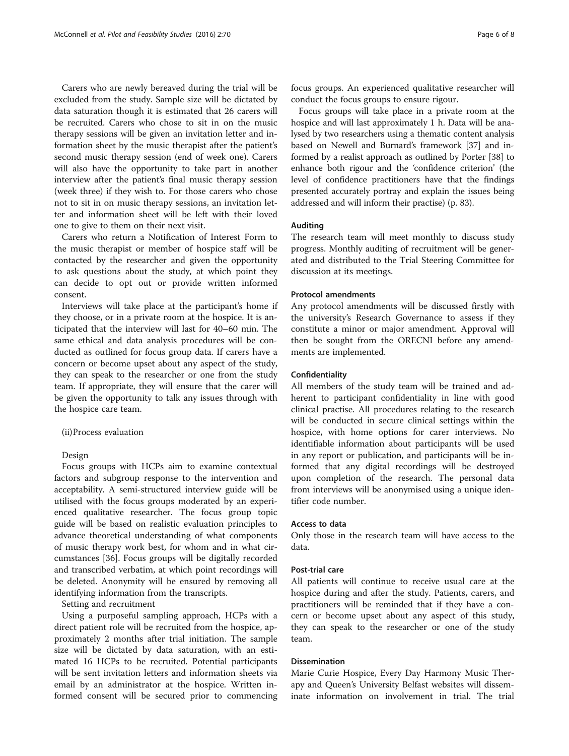Carers who are newly bereaved during the trial will be excluded from the study. Sample size will be dictated by data saturation though it is estimated that 26 carers will be recruited. Carers who chose to sit in on the music therapy sessions will be given an invitation letter and information sheet by the music therapist after the patient's second music therapy session (end of week one). Carers will also have the opportunity to take part in another interview after the patient's final music therapy session (week three) if they wish to. For those carers who chose not to sit in on music therapy sessions, an invitation letter and information sheet will be left with their loved one to give to them on their next visit.

Carers who return a Notification of Interest Form to the music therapist or member of hospice staff will be contacted by the researcher and given the opportunity to ask questions about the study, at which point they can decide to opt out or provide written informed consent.

Interviews will take place at the participant's home if they choose, or in a private room at the hospice. It is anticipated that the interview will last for 40–60 min. The same ethical and data analysis procedures will be conducted as outlined for focus group data. If carers have a concern or become upset about any aspect of the study, they can speak to the researcher or one from the study team. If appropriate, they will ensure that the carer will be given the opportunity to talk any issues through with the hospice care team.

# (ii)Process evaluation

#### Design

Focus groups with HCPs aim to examine contextual factors and subgroup response to the intervention and acceptability. A semi-structured interview guide will be utilised with the focus groups moderated by an experienced qualitative researcher. The focus group topic guide will be based on realistic evaluation principles to advance theoretical understanding of what components of music therapy work best, for whom and in what circumstances [[36](#page-7-0)]. Focus groups will be digitally recorded and transcribed verbatim, at which point recordings will be deleted. Anonymity will be ensured by removing all identifying information from the transcripts.

Setting and recruitment

Using a purposeful sampling approach, HCPs with a direct patient role will be recruited from the hospice, approximately 2 months after trial initiation. The sample size will be dictated by data saturation, with an estimated 16 HCPs to be recruited. Potential participants will be sent invitation letters and information sheets via email by an administrator at the hospice. Written informed consent will be secured prior to commencing

focus groups. An experienced qualitative researcher will conduct the focus groups to ensure rigour.

Focus groups will take place in a private room at the hospice and will last approximately 1 h. Data will be analysed by two researchers using a thematic content analysis based on Newell and Burnard's framework [[37](#page-7-0)] and informed by a realist approach as outlined by Porter [[38](#page-7-0)] to enhance both rigour and the 'confidence criterion' (the level of confidence practitioners have that the findings presented accurately portray and explain the issues being addressed and will inform their practise) (p. 83).

#### Auditing

The research team will meet monthly to discuss study progress. Monthly auditing of recruitment will be generated and distributed to the Trial Steering Committee for discussion at its meetings.

#### Protocol amendments

Any protocol amendments will be discussed firstly with the university's Research Governance to assess if they constitute a minor or major amendment. Approval will then be sought from the ORECNI before any amendments are implemented.

#### Confidentiality

All members of the study team will be trained and adherent to participant confidentiality in line with good clinical practise. All procedures relating to the research will be conducted in secure clinical settings within the hospice, with home options for carer interviews. No identifiable information about participants will be used in any report or publication, and participants will be informed that any digital recordings will be destroyed upon completion of the research. The personal data from interviews will be anonymised using a unique identifier code number.

#### Access to data

Only those in the research team will have access to the data.

# Post-trial care

All patients will continue to receive usual care at the hospice during and after the study. Patients, carers, and practitioners will be reminded that if they have a concern or become upset about any aspect of this study, they can speak to the researcher or one of the study team.

# Dissemination

Marie Curie Hospice, Every Day Harmony Music Therapy and Queen's University Belfast websites will disseminate information on involvement in trial. The trial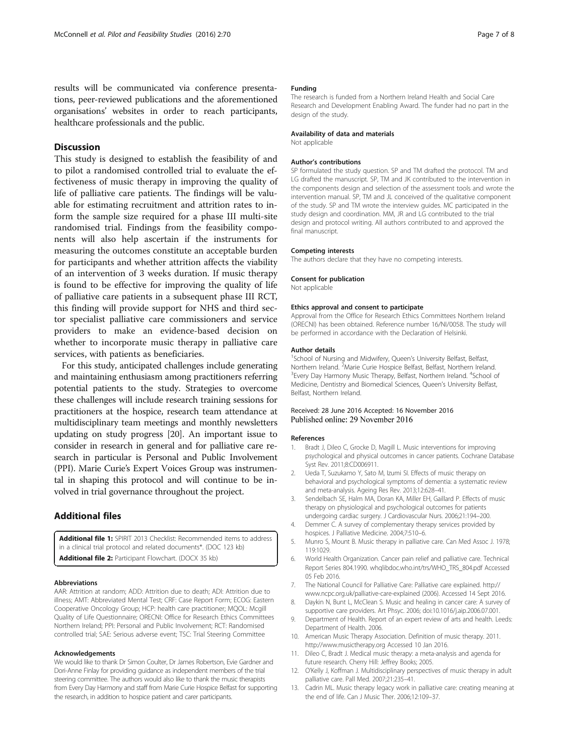<span id="page-6-0"></span>results will be communicated via conference presentations, peer-reviewed publications and the aforementioned organisations' websites in order to reach participants, healthcare professionals and the public.

# **Discussion**

This study is designed to establish the feasibility of and to pilot a randomised controlled trial to evaluate the effectiveness of music therapy in improving the quality of life of palliative care patients. The findings will be valuable for estimating recruitment and attrition rates to inform the sample size required for a phase III multi-site randomised trial. Findings from the feasibility components will also help ascertain if the instruments for measuring the outcomes constitute an acceptable burden for participants and whether attrition affects the viability of an intervention of 3 weeks duration. If music therapy is found to be effective for improving the quality of life of palliative care patients in a subsequent phase III RCT, this finding will provide support for NHS and third sector specialist palliative care commissioners and service providers to make an evidence-based decision on whether to incorporate music therapy in palliative care services, with patients as beneficiaries.

For this study, anticipated challenges include generating and maintaining enthusiasm among practitioners referring potential patients to the study. Strategies to overcome these challenges will include research training sessions for practitioners at the hospice, research team attendance at multidisciplinary team meetings and monthly newsletters updating on study progress [\[20\]](#page-7-0). An important issue to consider in research in general and for palliative care research in particular is Personal and Public Involvement (PPI). Marie Curie's Expert Voices Group was instrumental in shaping this protocol and will continue to be involved in trial governance throughout the project.

# Additional files

[Additional file 1:](dx.doi.org/10.1186/s40814-016-0111-x) SPIRIT 2013 Checklist: Recommended items to address in a clinical trial protocol and related documents\*. (DOC 123 kb) [Additional file 2:](dx.doi.org/10.1186/s40814-016-0111-x) Participant Flowchart. (DOCX 35 kb)

#### Abbreviations

AAR: Attrition at random; ADD: Attrition due to death; ADI: Attrition due to illness; AMT: Abbreviated Mental Test; CRF: Case Report Form; ECOG: Eastern Cooperative Oncology Group; HCP: health care practitioner; MQOL: Mcgill Quality of Life Questionnaire; ORECNI: Office for Research Ethics Committees Northern Ireland; PPI: Personal and Public Involvement; RCT: Randomised controlled trial; SAE: Serious adverse event; TSC: Trial Steering Committee

#### Acknowledgements

We would like to thank Dr Simon Coulter, Dr James Robertson, Evie Gardner and Dori-Anne Finlay for providing guidance as independent members of the trial steering committee. The authors would also like to thank the music therapists from Every Day Harmony and staff from Marie Curie Hospice Belfast for supporting the research, in addition to hospice patient and carer participants.

#### Funding

The research is funded from a Northern Ireland Health and Social Care Research and Development Enabling Award. The funder had no part in the design of the study.

#### Availability of data and materials

Not applicable

#### Author's contributions

SP formulated the study question. SP and TM drafted the protocol. TM and LG drafted the manuscript. SP, TM and JK contributed to the intervention in the components design and selection of the assessment tools and wrote the intervention manual. SP, TM and JL conceived of the qualitative component of the study. SP and TM wrote the interview guides. MC participated in the study design and coordination. MM, JR and LG contributed to the trial design and protocol writing. All authors contributed to and approved the final manuscript.

#### Competing interests

The authors declare that they have no competing interests.

# Consent for publication

Not applicable

#### Ethics approval and consent to participate

Approval from the Office for Research Ethics Committees Northern Ireland (ORECNI) has been obtained. Reference number 16/NI/0058. The study will be performed in accordance with the Declaration of Helsinki.

#### Author details

<sup>1</sup>School of Nursing and Midwifery, Queen's University Belfast, Belfast, Northern Ireland. <sup>2</sup> Marie Curie Hospice Belfast, Belfast, Northern Ireland.<br><sup>3</sup> Evens Day Harmony Music Therapy, Belfast, Northern Ireland. <sup>4</sup> School. Every Day Harmony Music Therapy, Belfast, Northern Ireland. <sup>4</sup>School of Medicine, Dentistry and Biomedical Sciences, Queen's University Belfast, Belfast, Northern Ireland.

#### Received: 28 June 2016 Accepted: 16 November 2016 Published online: 29 November 2016

#### References

- 1. Bradt J, Dileo C, Grocke D, Magill L. Music interventions for improving psychological and physical outcomes in cancer patients. Cochrane Database Syst Rev. 2011;8:CD006911.
- 2. Ueda T, Suzukamo Y, Sato M, Izumi SI. Effects of music therapy on behavioral and psychological symptoms of dementia: a systematic review and meta-analysis. Ageing Res Rev. 2013;12:628–41.
- 3. Sendelbach SE, Halm MA, Doran KA, Miller EH, Gaillard P. Effects of music therapy on physiological and psychological outcomes for patients undergoing cardiac surgery. J Cardiovascular Nurs. 2006;21:194–200.
- 4. Demmer C. A survey of complementary therapy services provided by hospices. J Palliative Medicine. 2004;7:510–6.
- 5. Munro S, Mount B. Music therapy in palliative care. Can Med Assoc J. 1978; 119:1029.
- 6. World Health Organization. Cancer pain relief and palliative care. Technical Report Series 804.1990. whqlibdoc.who.int/trs/WHO\_TRS\_804.pdf Accessed 05 Feb 2016.
- 7. The National Council for Palliative Care: Palliative care explained. [http://](http://www.ncpc.org.uk/palliative-care-explained) [www.ncpc.org.uk/palliative-care-explained](http://www.ncpc.org.uk/palliative-care-explained) (2006). Accessed 14 Sept 2016.
- 8. Daykin N, Bunt L, McClean S. Music and healing in cancer care: A survey of supportive care providers. Art Phsyc. 2006; doi:[10.1016/j.aip.2006.07.001](http://dx.doi.org/10.1016/j.aip.2006.07.001).
- Department of Health. Report of an expert review of arts and health. Leeds: Department of Health. 2006.
- 10. American Music Therapy Association. Definition of music therapy. 2011. [http://www.musictherapy.org](http://www.musictherapy.org/) Accessed 10 Jan 2016.
- 11. Dileo C, Bradt J. Medical music therapy: a meta-analysis and agenda for future research. Cherry Hill: Jeffrey Books; 2005.
- 12. O'Kelly J, Koffman J. Multidisciplinary perspectives of music therapy in adult palliative care. Pall Med. 2007;21:235–41.
- 13. Cadrin ML. Music therapy legacy work in palliative care: creating meaning at the end of life. Can J Music Ther. 2006;12:109–37.